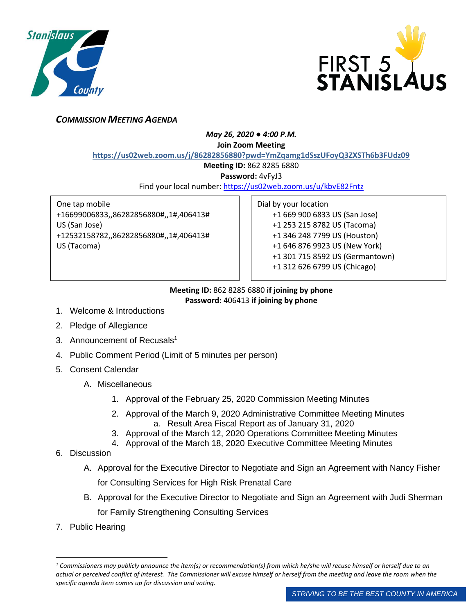



## *COMMISSION MEETING AGENDA*

## *May 26, 2020 ● 4:00 P.M.*

**Join Zoom Meeting**

**https://us02web.zoom.us/j/86282856880?pwd=YmZqamg1dSszUFoyQ3ZXSTh6b3FUdz09**

**Meeting ID:** 862 8285 6880

**Password:** 4vFyJ3

Find your local number:<https://us02web.zoom.us/u/kbvE82Fntz>

One tap mobile +16699006833,,86282856880#,,1#,406413# US (San Jose) +12532158782,,86282856880#,,1#,406413# US (Tacoma)

Dial by your location +1 669 900 6833 US (San Jose) +1 253 215 8782 US (Tacoma) +1 346 248 7799 US (Houston) +1 646 876 9923 US (New York) +1 301 715 8592 US (Germantown) +1 312 626 6799 US (Chicago)

## **Meeting ID:** 862 8285 6880 **if joining by phone Password:** 406413 **if joining by phone**

- 1. Welcome & Introductions
- 2. Pledge of Allegiance
- 3. Announcement of Recusals<sup>1</sup>
- 4. Public Comment Period (Limit of 5 minutes per person)
- 5. Consent Calendar
	- A. Miscellaneous
		- 1. Approval of the February 25, 2020 Commission Meeting Minutes
		- 2. Approval of the March 9, 2020 Administrative Committee Meeting Minutes a. Result Area Fiscal Report as of January 31, 2020
		- 3. Approval of the March 12, 2020 Operations Committee Meeting Minutes
		- 4. Approval of the March 18, 2020 Executive Committee Meeting Minutes
- 6. Discussion
	- A. Approval for the Executive Director to Negotiate and Sign an Agreement with Nancy Fisher for Consulting Services for High Risk Prenatal Care
	- B. Approval for the Executive Director to Negotiate and Sign an Agreement with Judi Sherman for Family Strengthening Consulting Services
- 7. Public Hearing

*<sup>1</sup> Commissioners may publicly announce the item(s) or recommendation(s) from which he/she will recuse himself or herself due to an actual or perceived conflict of interest. The Commissioner will excuse himself or herself from the meeting and leave the room when the specific agenda item comes up for discussion and voting.*